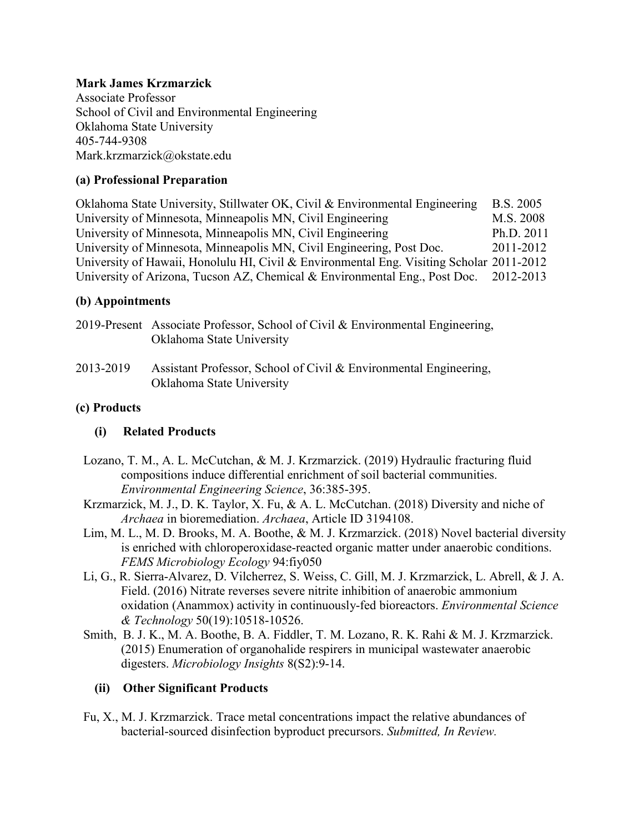## **Mark James Krzmarzick**

Associate Professor School of Civil and Environmental Engineering Oklahoma State University 405-744-9308 Mark.krzmarzick@okstate.edu

## **(a) Professional Preparation**

Oklahoma State University, Stillwater OK, Civil & Environmental Engineering B.S. 2005 University of Minnesota, Minneapolis MN, Civil Engineering M.S. 2008 University of Minnesota, Minneapolis MN, Civil Engineering Ph.D. 2011 University of Minnesota, Minneapolis MN, Civil Engineering, Post Doc. 2011-2012 University of Hawaii, Honolulu HI, Civil & Environmental Eng. Visiting Scholar 2011-2012 University of Arizona, Tucson AZ, Chemical & Environmental Eng., Post Doc. 2012-2013

## **(b) Appointments**

- 2019-Present Associate Professor, School of Civil & Environmental Engineering, Oklahoma State University
- 2013-2019 Assistant Professor, School of Civil & Environmental Engineering, Oklahoma State University

## **(c) Products**

# **(i) Related Products**

- Lozano, T. M., A. L. McCutchan, & M. J. Krzmarzick. (2019) Hydraulic fracturing fluid compositions induce differential enrichment of soil bacterial communities. *Environmental Engineering Science*, 36:385-395.
- Krzmarzick, M. J., D. K. Taylor, X. Fu, & A. L. McCutchan. (2018) Diversity and niche of *Archaea* in bioremediation. *Archaea*, Article ID 3194108.
- Lim, M. L., M. D. Brooks, M. A. Boothe, & M. J. Krzmarzick. (2018) Novel bacterial diversity is enriched with chloroperoxidase-reacted organic matter under anaerobic conditions. *FEMS Microbiology Ecology* 94:fiy050
- Li, G., R. Sierra-Alvarez, D. Vilcherrez, S. Weiss, C. Gill, M. J. Krzmarzick, L. Abrell, & J. A. Field. (2016) Nitrate reverses severe nitrite inhibition of anaerobic ammonium oxidation (Anammox) activity in continuously-fed bioreactors. *Environmental Science & Technology* 50(19):10518-10526.
- Smith, B. J. K., M. A. Boothe, B. A. Fiddler, T. M. Lozano, R. K. Rahi & M. J. Krzmarzick. (2015) Enumeration of organohalide respirers in municipal wastewater anaerobic digesters. *Microbiology Insights* 8(S2):9-14.

# **(ii) Other Significant Products**

Fu, X., M. J. Krzmarzick. Trace metal concentrations impact the relative abundances of bacterial-sourced disinfection byproduct precursors. *Submitted, In Review.*